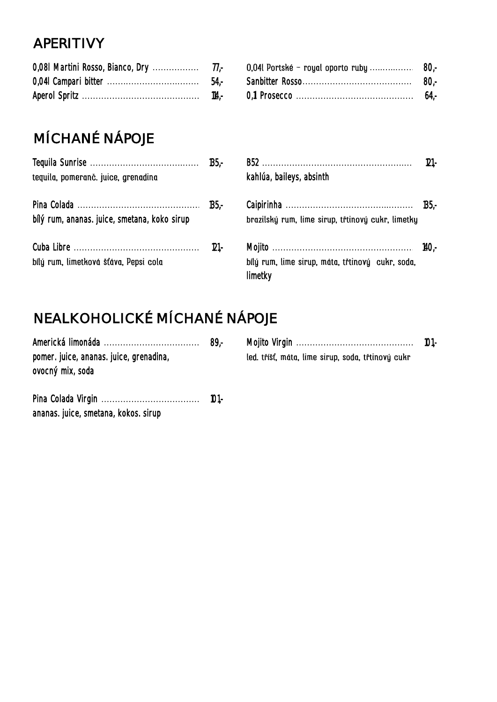## APERITIVY

# MÍCHANÉ NÁPOJE

| teguila, pomeranč. juice, grenadina          | kahlúa, baileys, absinth                                    |  |
|----------------------------------------------|-------------------------------------------------------------|--|
| bílý rum, ananas. juice, smetana, koko sirup | brazilský rum, lime sirup, třtinový cukr, limetky           |  |
| bílý rum, limetková šťáva, Pepsi cola        | bílý rum, lime sirup, máta, třtinový cukr, soda,<br>limetky |  |

## NEALKOHOLICKÉ MÍCHANÉ NÁPOJE

|                                         | $89-$ |                                                   |  |
|-----------------------------------------|-------|---------------------------------------------------|--|
| pomer. juice, ananas. juice, grenadina, |       | led. tříšť, máta, lime sirup, soda, třtinový cukr |  |
| ovocný mix, soda                        |       |                                                   |  |
|                                         |       |                                                   |  |

| ananas. juice, smetana, kokos. sirup |  |
|--------------------------------------|--|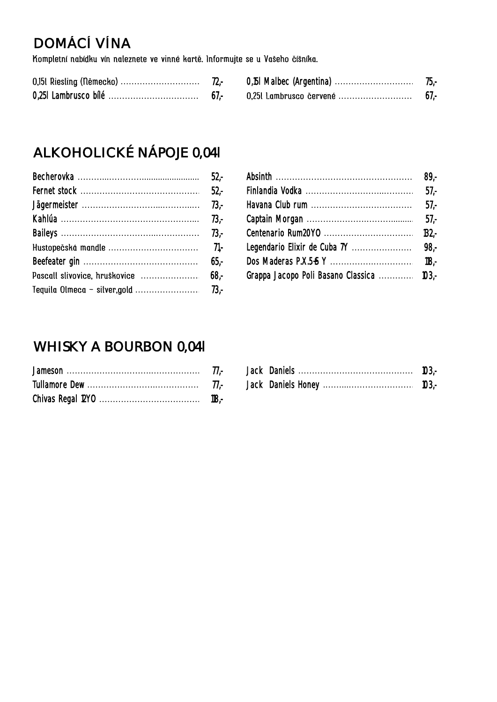# DOMÁCÍ VÍNA

Kompletní nabídku vín naleznete ve vinné kartě. Informujte se u Vašeho číšníka.

# ALKOHOLICKÉ NÁPOJE 0,041

|                                           | $57 -$ |
|-------------------------------------------|--------|
|                                           |        |
|                                           |        |
|                                           |        |
| Grappa Jacopo Poli Basano Classica  103,- |        |

## WHISKY A BOURBON 0,041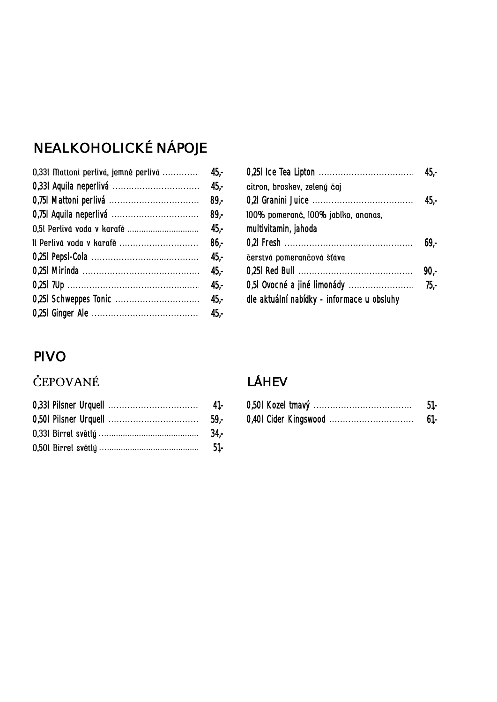# NEALKOHOLICKÉ NÁPOJE

|                                    | citron, broskev, zelený čaj                |
|------------------------------------|--------------------------------------------|
|                                    |                                            |
|                                    | 100% pomeranč, 100% jablko, ananas,        |
| 45,-                               | multivitamin, jahoda                       |
| Il Perlivá voda v karafě<br>$86 -$ |                                            |
| $45,-$                             | čerstvá pomerančová šťáva                  |
| 45,-                               |                                            |
| 45,-                               | 0,51 Ovocné a jiné limonády                |
|                                    | dle aktuální nabídky - informace u obsluhy |
|                                    |                                            |
|                                    |                                            |

| 0,331 Mattoni perlivá, jemně perlivá ……………… 45,- |                                            |  |
|--------------------------------------------------|--------------------------------------------|--|
|                                                  | citron, broskev, zelený čaj                |  |
|                                                  |                                            |  |
|                                                  | 100% pomeranč, 100% jablko, ananas,        |  |
| 0,5l  Perlivá voda v karafě     45,-             | multivitamin, jahoda                       |  |
| Il Perlivá voda v karafě     86,-                |                                            |  |
|                                                  | čerstvá pomerančová šťáva                  |  |
|                                                  |                                            |  |
|                                                  |                                            |  |
|                                                  | dle aktuální nabídky - informace u obsluhy |  |
|                                                  |                                            |  |

## PIVO

## ČEPOVANÉ

#### LÁHEV

|                       | ٦IJ.,  | 0,50 Kozel<br>tmavý | OI. |
|-----------------------|--------|---------------------|-----|
| 0,501 Pilsner Urquell | $59 -$ |                     | OI. |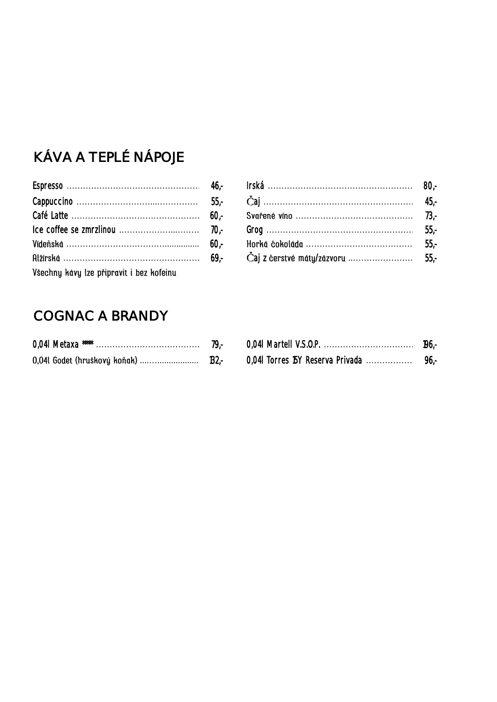# KÁVA A TEPLÉ NÁPOJE

|                                          | $55 -$ |
|------------------------------------------|--------|
|                                          |        |
|                                          |        |
|                                          |        |
|                                          |        |
| Všechny kávy lze připravit i bez kofeinu |        |

#### COGNAC A BRANDY

| 0,041 Metaxa ***** | 79.- |
|--------------------|------|
|                    |      |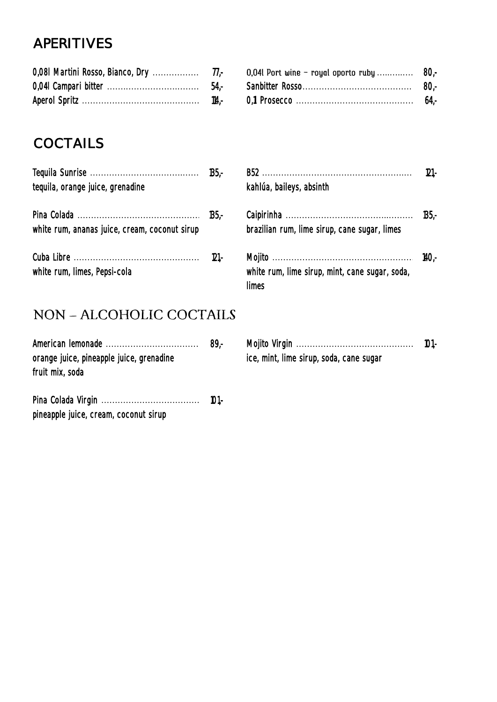## APERITIVES

|  | 0,041 Campari bitter …………………………………… 54,- Sanbitter Rosso…………………………………… 80,- |  |
|--|-----------------------------------------------------------------------------|--|
|  |                                                                             |  |

## **COCTAILS**

| tequila, orange juice, grenadine              | kahlúa, baileys, absinth                                 |
|-----------------------------------------------|----------------------------------------------------------|
|                                               |                                                          |
| white rum, ananas juice, cream, coconut sirup | brazilian rum, lime sirup, cane sugar, limes             |
|                                               |                                                          |
| white rum, limes, Pepsi-cola                  | white rum, lime sirup, mint, cane sugar, soda,<br>limes. |

| tequila, orange juice, grenadine              |         | kahlúa, baileys, absinth                                | $121 -$ |
|-----------------------------------------------|---------|---------------------------------------------------------|---------|
| white rum, ananas juice, cream, coconut sirup |         | brazilian rum, lime sirup, cane sugar, limes            |         |
| white rum, limes, Pepsi-cola                  | $121 -$ | white rum, lime sirup, mint, cane sugar, soda,<br>limes |         |

#### NON - ALCOHOLIC COCTAILS

| orange juice, pineapple juice, grenadine<br>fruit mix, soda | ice, mint, lime sirup, soda, cane sugar |  |
|-------------------------------------------------------------|-----------------------------------------|--|
|                                                             |                                         |  |

pineapple juice, cream, coconut sirup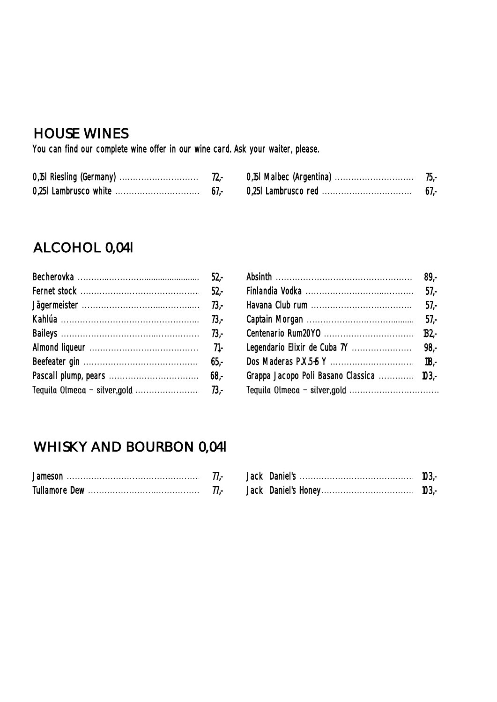#### HOUSE WINES

You can find our complete wine offer in our wine card. Ask your waiter, please.

|        | 70. |
|--------|-----|
| $61 -$ |     |

#### ALCOHOL 0,04l

| 65.5 |
|------|
|      |
|      |

|  | Grappa Jacopo Poli Basano Classica  103,- |  |
|--|-------------------------------------------|--|
|  | Tequila Olmeca - silver,gold              |  |

#### WHISKY AND BOURBON 0,04l

| Jamesor          | . . | Jack | Jani | IUJ.                 |
|------------------|-----|------|------|----------------------|
| Tullamore<br>Dew |     | Jack |      | $1^{\prime}$<br>IUJ. |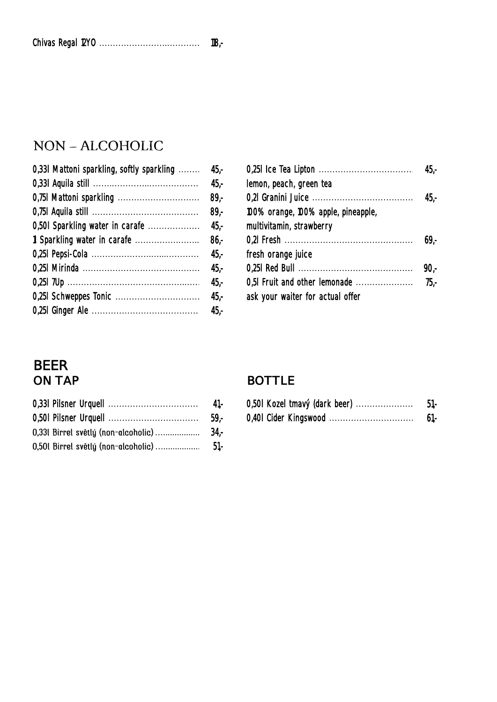#### NON - ALCOHOLIC

| 0,331 Mattoni sparkling, softly sparkling  45,- |        |                                     |
|-------------------------------------------------|--------|-------------------------------------|
|                                                 | 45,-   | lemon, peach, green tea             |
|                                                 |        | 0,2l Granini Juice                  |
|                                                 | -89,-  | 100% orange, 100% apple, pineapple, |
|                                                 |        | multivitamin, strawberry            |
|                                                 |        |                                     |
|                                                 |        | fresh orange juice                  |
|                                                 |        |                                     |
|                                                 | -45,-  | 0,51 Fruit and other lemonade       |
|                                                 | $45,-$ | ask your waiter for actual offer    |
|                                                 |        |                                     |
|                                                 |        |                                     |

| 0,331 Mattoni sparkling, softly sparkling  45,- |                                     |  |
|-------------------------------------------------|-------------------------------------|--|
|                                                 | lemon, peach, green tea             |  |
|                                                 |                                     |  |
|                                                 | 100% orange, 100% apple, pineapple, |  |
|                                                 | multivitamin, strawberry            |  |
|                                                 |                                     |  |
|                                                 | fresh orange juice                  |  |
|                                                 |                                     |  |
|                                                 |                                     |  |
|                                                 | ask your waiter for actual offer    |  |
|                                                 |                                     |  |

# BEER<br>ON TAP

#### **BOTTLE**

| 0,331 Pilsner Urquell | 0,501 Kozel tmavý (dark beer) | JI. |
|-----------------------|-------------------------------|-----|
| 0,501 Pilsner Urquell | 0,401 Cider Kingswood         | OI. |